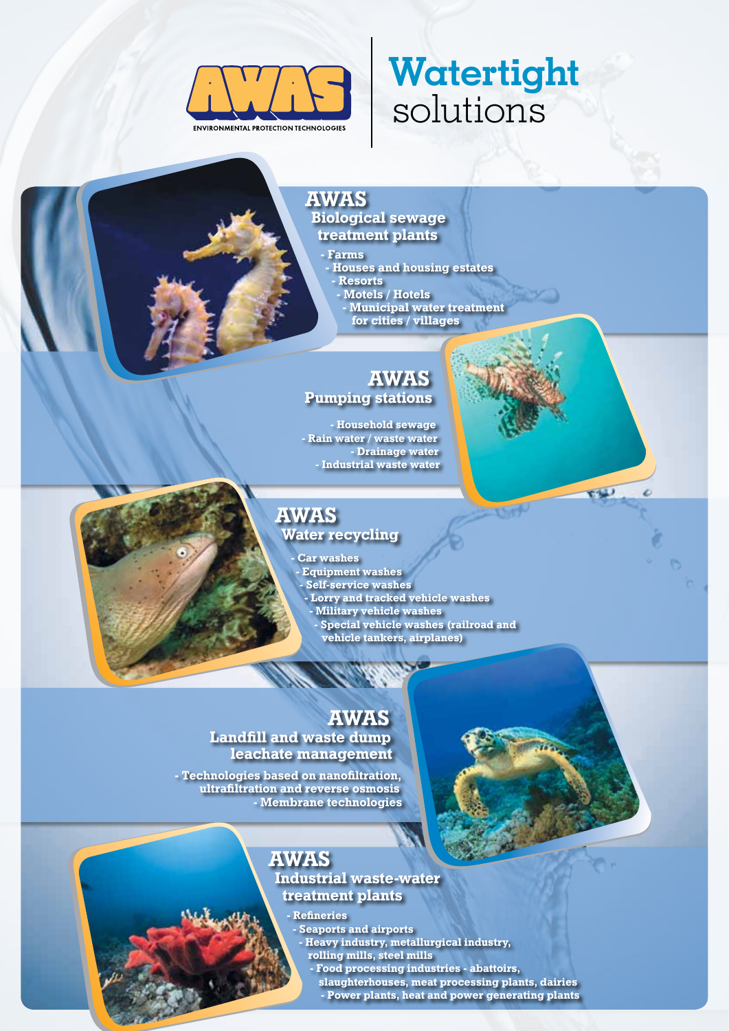

# **Watertight** solutions

 $-11$ 

z

#### AWAS Biological sewage treatment plants

- Farms

- Houses and housing estates

- Resorts

- Motels / Hotels
- Municipal water treatment for cities / villages

### AWAS Pumping stations

- Household sewage - Rain water / waste water - Drainage water - Industrial waste water

### AWAS

Water recycling

Car washes Equipment washes - Self-service washes - Lorry and tracked vehicle washes - Military vehicle washes

- Special vehicle washes (railroad and
	- vehicle tankers, airplanes)

### AWAS

#### Landfill and waste dump leachate management

- Technologies based on nanofiltration, ultrafiltration and reverse osmosis - Membrane technologies

## AWAS

Industrial waste-water treatment plants

### - Refineries

- Seaports and airports

- Heavy industry, metallurgical industry, rolling mills, steel mills
	- Food processing industries abattoirs,
	- slaughterhouses, meat processing plants, dairies
	- Power plants, heat and power generating plants